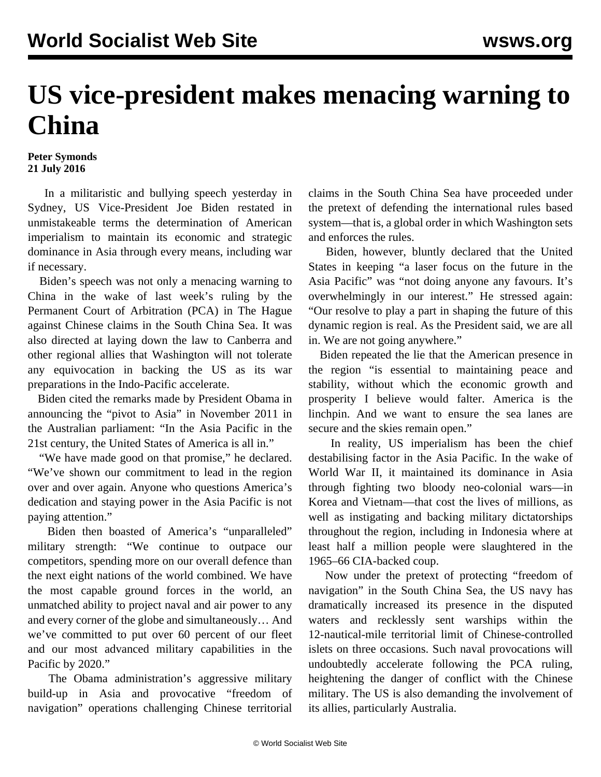## **US vice-president makes menacing warning to China**

## **Peter Symonds 21 July 2016**

 In a militaristic and bullying speech yesterday in Sydney, US Vice-President Joe Biden restated in unmistakeable terms the determination of American imperialism to maintain its economic and strategic dominance in Asia through every means, including war if necessary.

 Biden's speech was not only a menacing warning to China in the wake of last week's ruling by the Permanent Court of Arbitration (PCA) in The Hague against Chinese claims in the South China Sea. It was also directed at laying down the law to Canberra and other regional allies that Washington will not tolerate any equivocation in backing the US as its war preparations in the Indo-Pacific accelerate.

 Biden cited the remarks made by President Obama in announcing the "pivot to Asia" in November 2011 in the Australian parliament: "In the Asia Pacific in the 21st century, the United States of America is all in."

 "We have made good on that promise," he declared. "We've shown our commitment to lead in the region over and over again. Anyone who questions America's dedication and staying power in the Asia Pacific is not paying attention."

 Biden then boasted of America's "unparalleled" military strength: "We continue to outpace our competitors, spending more on our overall defence than the next eight nations of the world combined. We have the most capable ground forces in the world, an unmatched ability to project naval and air power to any and every corner of the globe and simultaneously… And we've committed to put over 60 percent of our fleet and our most advanced military capabilities in the Pacific by 2020."

 The Obama administration's aggressive military build-up in Asia and provocative "freedom of navigation" operations challenging Chinese territorial

claims in the South China Sea have proceeded under the pretext of defending the international rules based system—that is, a global order in which Washington sets and enforces the rules.

 Biden, however, bluntly declared that the United States in keeping "a laser focus on the future in the Asia Pacific" was "not doing anyone any favours. It's overwhelmingly in our interest." He stressed again: "Our resolve to play a part in shaping the future of this dynamic region is real. As the President said, we are all in. We are not going anywhere."

 Biden repeated the lie that the American presence in the region "is essential to maintaining peace and stability, without which the economic growth and prosperity I believe would falter. America is the linchpin. And we want to ensure the sea lanes are secure and the skies remain open."

 In reality, US imperialism has been the chief destabilising factor in the Asia Pacific. In the wake of World War II, it maintained its dominance in Asia through fighting two bloody neo-colonial wars—in Korea and Vietnam—that cost the lives of millions, as well as instigating and backing military dictatorships throughout the region, including in Indonesia where at least half a million people were slaughtered in the 1965–66 CIA-backed coup.

 Now under the pretext of protecting "freedom of navigation" in the South China Sea, the US navy has dramatically increased its presence in the disputed waters and recklessly sent warships within the 12-nautical-mile territorial limit of Chinese-controlled islets on three occasions. Such naval provocations will undoubtedly accelerate following the PCA ruling, heightening the danger of conflict with the Chinese military. The US is also demanding the involvement of its allies, particularly Australia.